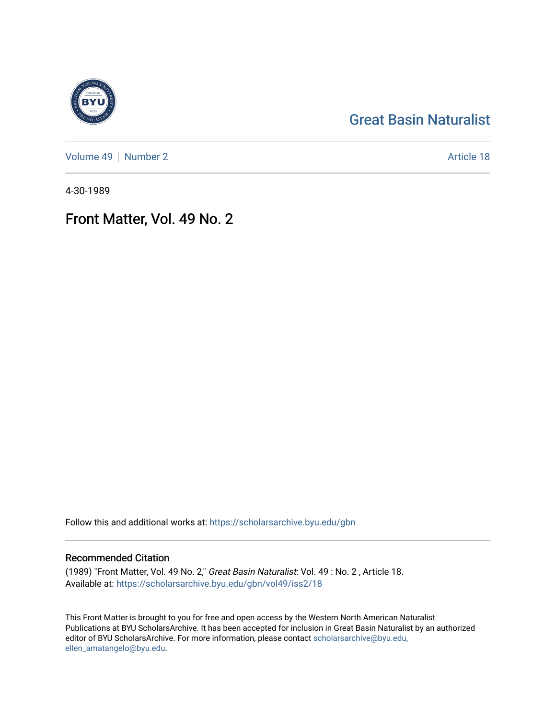### [Great Basin Naturalist](https://scholarsarchive.byu.edu/gbn)

[Volume 49](https://scholarsarchive.byu.edu/gbn/vol49) | [Number 2](https://scholarsarchive.byu.edu/gbn/vol49/iss2) Article 18

4-30-1989

## Front Matter, Vol. 49 No. 2

Follow this and additional works at: [https://scholarsarchive.byu.edu/gbn](https://scholarsarchive.byu.edu/gbn?utm_source=scholarsarchive.byu.edu%2Fgbn%2Fvol49%2Fiss2%2F18&utm_medium=PDF&utm_campaign=PDFCoverPages) 

#### Recommended Citation

(1989) "Front Matter, Vol. 49 No. 2," Great Basin Naturalist: Vol. 49 : No. 2 , Article 18. Available at: [https://scholarsarchive.byu.edu/gbn/vol49/iss2/18](https://scholarsarchive.byu.edu/gbn/vol49/iss2/18?utm_source=scholarsarchive.byu.edu%2Fgbn%2Fvol49%2Fiss2%2F18&utm_medium=PDF&utm_campaign=PDFCoverPages) 

This Front Matter is brought to you for free and open access by the Western North American Naturalist Publications at BYU ScholarsArchive. It has been accepted for inclusion in Great Basin Naturalist by an authorized editor of BYU ScholarsArchive. For more information, please contact [scholarsarchive@byu.edu,](mailto:scholarsarchive@byu.edu,%20ellen_amatangelo@byu.edu) [ellen\\_amatangelo@byu.edu](mailto:scholarsarchive@byu.edu,%20ellen_amatangelo@byu.edu).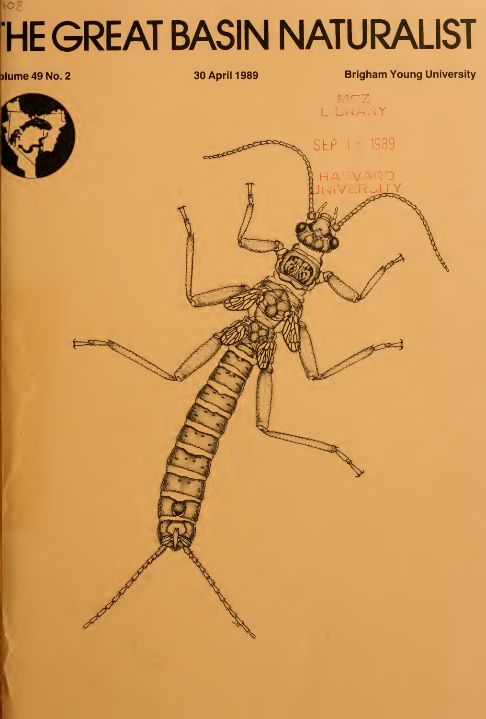# 108 **HE GREAT BASIN NATURALIST**



30 April 1989

executive

**Brigham Young University** 

LENANY

SEP 18 1989

VARD